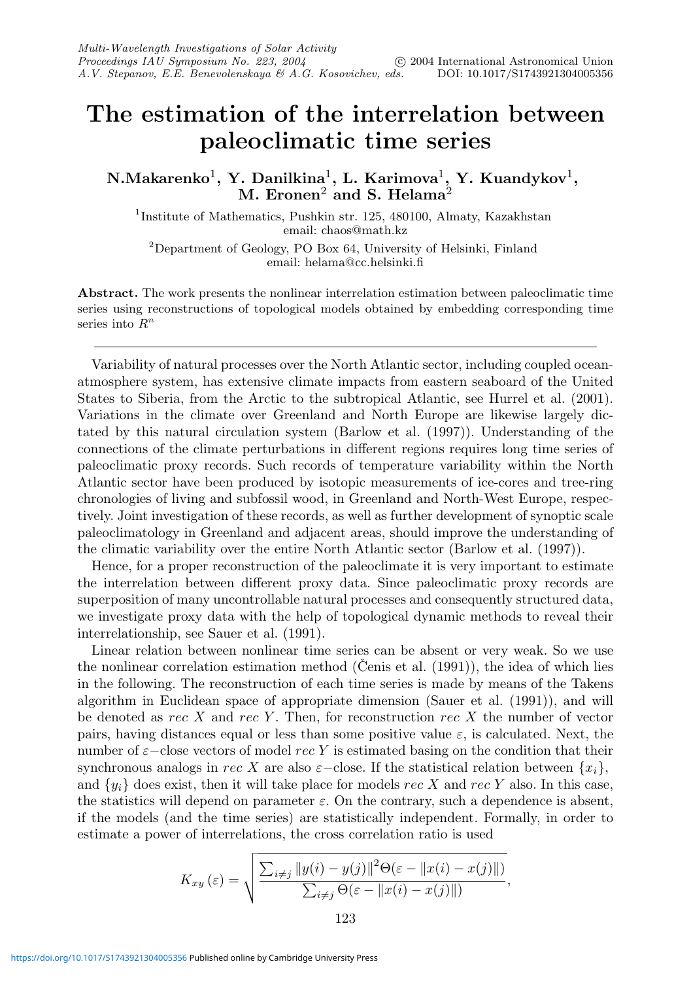## **The estimation of the interrelation between paleoclimatic time series**

**N.Makarenko**1**, Y. Danilkina**1**, L. Karimova**1**, Y. Kuandykov**1**, M. Eronen**<sup>2</sup> **and S. Helama**<sup>2</sup>

<sup>1</sup>Institute of Mathematics, Pushkin str. 125, 480100, Almaty, Kazakhstan email: chaos@math.kz

<sup>2</sup>Department of Geology, PO Box 64, University of Helsinki, Finland email: helama@cc.helsinki.fi

**Abstract.** The work presents the nonlinear interrelation estimation between paleoclimatic time series using reconstructions of topological models obtained by embedding corresponding time series into  $R^n$ 

Variability of natural processes over the North Atlantic sector, including coupled oceanatmosphere system, has extensive climate impacts from eastern seaboard of the United States to Siberia, from the Arctic to the subtropical Atlantic, see Hurrel et al. (2001). Variations in the climate over Greenland and North Europe are likewise largely dictated by this natural circulation system (Barlow et al. (1997)). Understanding of the connections of the climate perturbations in different regions requires long time series of paleoclimatic proxy records. Such records of temperature variability within the North Atlantic sector have been produced by isotopic measurements of ice-cores and tree-ring chronologies of living and subfossil wood, in Greenland and North-West Europe, respectively. Joint investigation of these records, as well as further development of synoptic scale paleoclimatology in Greenland and adjacent areas, should improve the understanding of the climatic variability over the entire North Atlantic sector (Barlow et al. (1997)).

Hence, for a proper reconstruction of the paleoclimate it is very important to estimate the interrelation between different proxy data. Since paleoclimatic proxy records are superposition of many uncontrollable natural processes and consequently structured data, we investigate proxy data with the help of topological dynamic methods to reveal their interrelationship, see Sauer et al. (1991).

Linear relation between nonlinear time series can be absent or very weak. So we use the nonlinear correlation estimation method (Cenis et al.  $(1991)$ ), the idea of which lies in the following. The reconstruction of each time series is made by means of the Takens algorithm in Euclidean space of appropriate dimension (Sauer et al. (1991)), and will be denoted as rec X and rec Y. Then, for reconstruction rec X the number of vector pairs, having distances equal or less than some positive value  $\varepsilon$ , is calculated. Next, the number of  $\varepsilon$ −close vectors of model rec Y is estimated basing on the condition that their synchronous analogs in rec X are also  $\varepsilon$ −close. If the statistical relation between  $\{x_i\}$ , and  $\{y_i\}$  does exist, then it will take place for models rec X and rec Y also. In this case, the statistics will depend on parameter  $\varepsilon$ . On the contrary, such a dependence is absent, if the models (and the time series) are statistically independent. Formally, in order to estimate a power of interrelations, the cross correlation ratio is used

$$
K_{xy}(\varepsilon) = \sqrt{\frac{\sum_{i \neq j} ||y(i) - y(j)||^2 \Theta(\varepsilon - ||x(i) - x(j)||)}{\sum_{i \neq j} \Theta(\varepsilon - ||x(i) - x(j)||)}},
$$
  
123